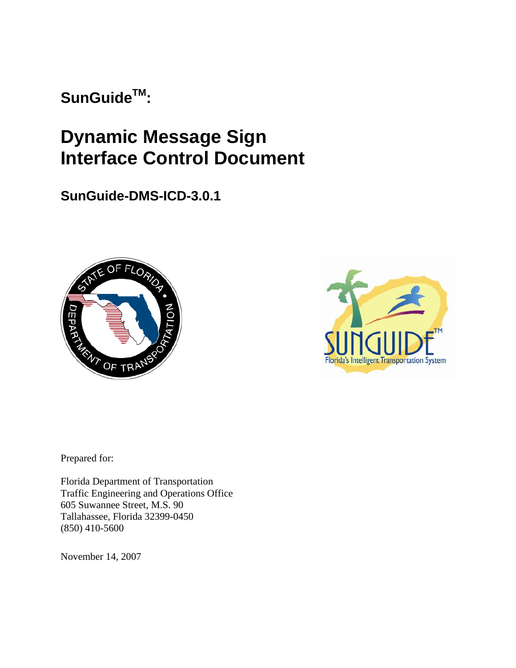SunGuide<sup>™</sup>:

# **Dynamic Message Sign Interface Control Document**

**SunGuide-DMS-ICD-3.0.1**





Prepared for:

Florida Department of Transportation Traffic Engineering and Operations Office 605 Suwannee Street, M.S. 90 Tallahassee, Florida 32399-0450 (850) 410-5600

November 14, 2007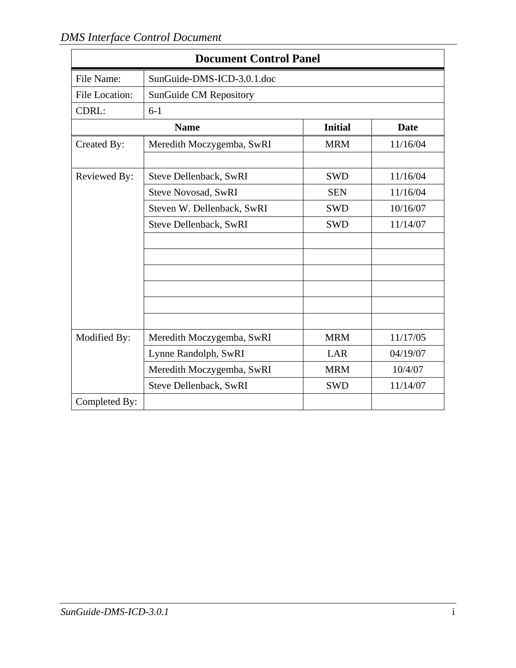| <b>Document Control Panel</b> |                            |                |             |  |  |  |  |  |  |  |
|-------------------------------|----------------------------|----------------|-------------|--|--|--|--|--|--|--|
| File Name:                    | SunGuide-DMS-ICD-3.0.1.doc |                |             |  |  |  |  |  |  |  |
| <b>File Location:</b>         | SunGuide CM Repository     |                |             |  |  |  |  |  |  |  |
| CDRL:<br>$6-1$                |                            |                |             |  |  |  |  |  |  |  |
|                               | <b>Name</b>                | <b>Initial</b> | <b>Date</b> |  |  |  |  |  |  |  |
| Created By:                   | Meredith Moczygemba, SwRI  | <b>MRM</b>     | 11/16/04    |  |  |  |  |  |  |  |
|                               |                            |                |             |  |  |  |  |  |  |  |
| Reviewed By:                  | Steve Dellenback, SwRI     | <b>SWD</b>     | 11/16/04    |  |  |  |  |  |  |  |
|                               | <b>Steve Novosad, SwRI</b> | <b>SEN</b>     | 11/16/04    |  |  |  |  |  |  |  |
|                               | Steven W. Dellenback, SwRI | <b>SWD</b>     | 10/16/07    |  |  |  |  |  |  |  |
|                               | Steve Dellenback, SwRI     | <b>SWD</b>     | 11/14/07    |  |  |  |  |  |  |  |
|                               |                            |                |             |  |  |  |  |  |  |  |
|                               |                            |                |             |  |  |  |  |  |  |  |
|                               |                            |                |             |  |  |  |  |  |  |  |
|                               |                            |                |             |  |  |  |  |  |  |  |
|                               |                            |                |             |  |  |  |  |  |  |  |
|                               |                            |                |             |  |  |  |  |  |  |  |
| Modified By:                  | Meredith Moczygemba, SwRI  | <b>MRM</b>     | 11/17/05    |  |  |  |  |  |  |  |
|                               | Lynne Randolph, SwRI       | LAR            | 04/19/07    |  |  |  |  |  |  |  |
|                               | Meredith Moczygemba, SwRI  | <b>MRM</b>     | 10/4/07     |  |  |  |  |  |  |  |
|                               | Steve Dellenback, SwRI     | <b>SWD</b>     | 11/14/07    |  |  |  |  |  |  |  |
| Completed By:                 |                            |                |             |  |  |  |  |  |  |  |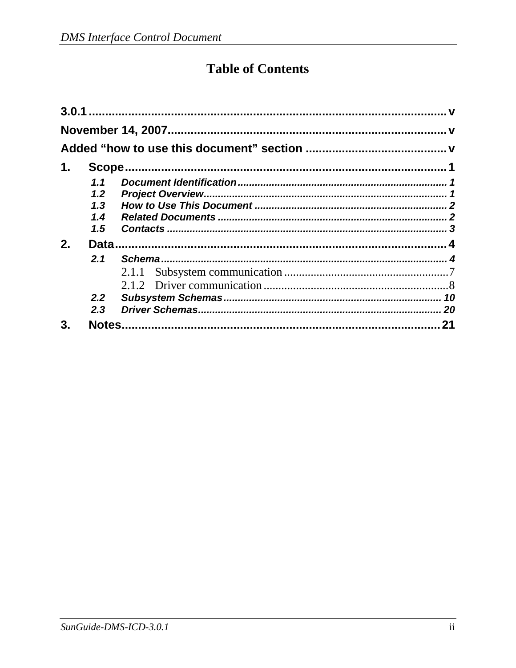# **Table of Contents**

| 1. |     |       |    |  |  |  |  |  |  |  |  |
|----|-----|-------|----|--|--|--|--|--|--|--|--|
|    | 1.1 |       |    |  |  |  |  |  |  |  |  |
|    | 1.2 |       |    |  |  |  |  |  |  |  |  |
|    | 1.3 |       |    |  |  |  |  |  |  |  |  |
|    | 1.4 |       |    |  |  |  |  |  |  |  |  |
|    | 1.5 |       |    |  |  |  |  |  |  |  |  |
| 2. |     |       |    |  |  |  |  |  |  |  |  |
|    | 2.1 |       |    |  |  |  |  |  |  |  |  |
|    |     | 2.1.1 |    |  |  |  |  |  |  |  |  |
|    |     |       |    |  |  |  |  |  |  |  |  |
|    | 2.2 |       |    |  |  |  |  |  |  |  |  |
|    | 2.3 |       |    |  |  |  |  |  |  |  |  |
| 3. |     |       | 21 |  |  |  |  |  |  |  |  |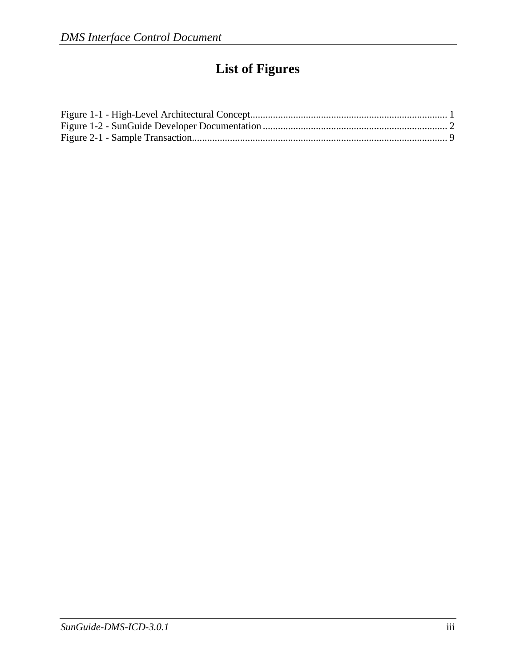# **List of Figures**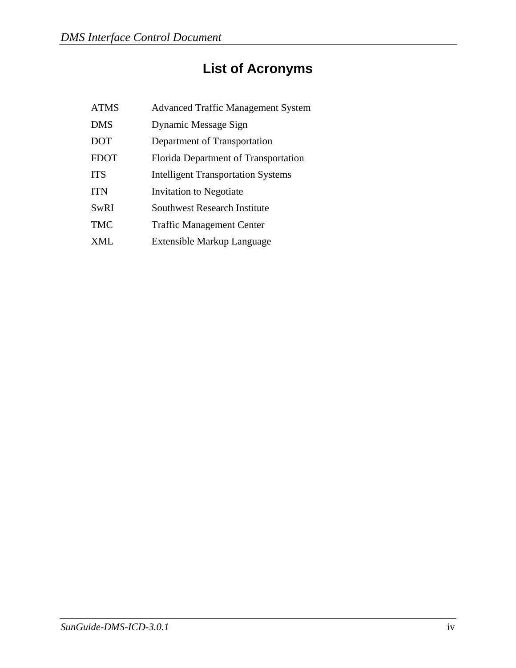# **List of Acronyms**

| <b>ATMS</b> | <b>Advanced Traffic Management System</b> |
|-------------|-------------------------------------------|
| <b>DMS</b>  | Dynamic Message Sign                      |
| <b>DOT</b>  | Department of Transportation              |
| <b>FDOT</b> | Florida Department of Transportation      |
| <b>ITS</b>  | <b>Intelligent Transportation Systems</b> |
| <b>ITN</b>  | Invitation to Negotiate                   |
| <b>SwRI</b> | <b>Southwest Research Institute</b>       |
| <b>TMC</b>  | <b>Traffic Management Center</b>          |
| XML         | Extensible Markup Language                |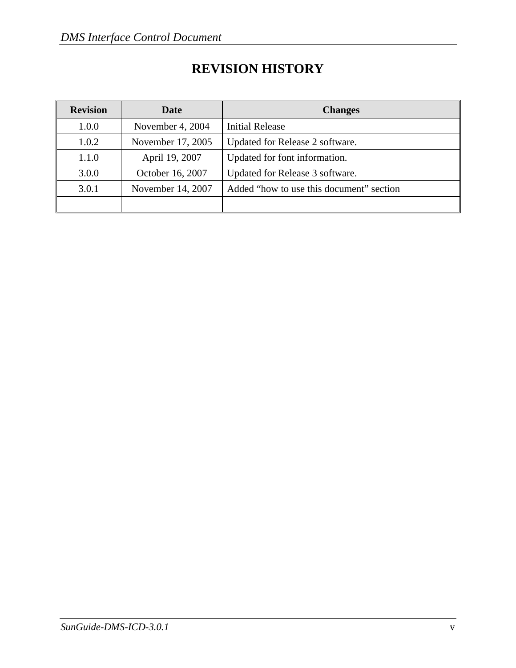| <b>Revision</b> | Date              | <b>Changes</b>                           |
|-----------------|-------------------|------------------------------------------|
| 1.0.0           | November 4, 2004  | <b>Initial Release</b>                   |
| 1.0.2           | November 17, 2005 | Updated for Release 2 software.          |
| 1.1.0           | April 19, 2007    | Updated for font information.            |
| 3.0.0           | October 16, 2007  | Updated for Release 3 software.          |
| 3.0.1           | November 14, 2007 | Added "how to use this document" section |
|                 |                   |                                          |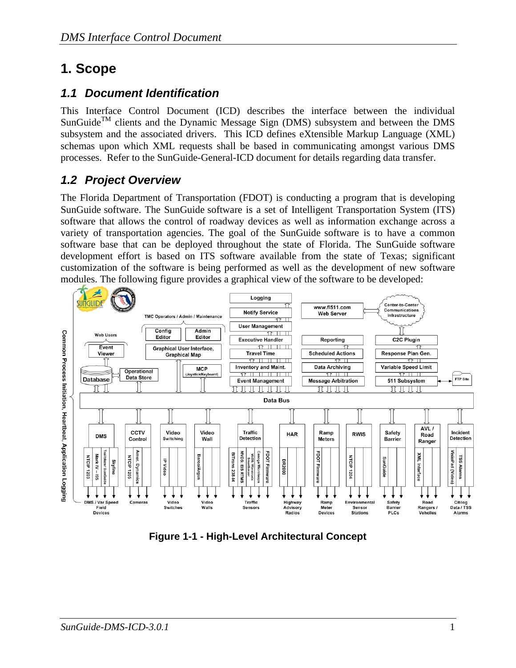## **1. Scope**

### *1.1 Document Identification*

This Interface Control Document (ICD) describes the interface between the individual  $SunGuide^{TM}$  clients and the Dynamic Message Sign (DMS) subsystem and between the DMS subsystem and the associated drivers. This ICD defines eXtensible Markup Language (XML) schemas upon which XML requests shall be based in communicating amongst various DMS processes. Refer to the SunGuide-General-ICD document for details regarding data transfer.

## *1.2 Project Overview*

The Florida Department of Transportation (FDOT) is conducting a program that is developing SunGuide software. The SunGuide software is a set of Intelligent Transportation System (ITS) software that allows the control of roadway devices as well as information exchange across a variety of transportation agencies. The goal of the SunGuide software is to have a common software base that can be deployed throughout the state of Florida. The SunGuide software development effort is based on ITS software available from the state of Texas; significant customization of the software is being performed as well as the development of new software modules. The following figure provides a graphical view of the software to be developed:



**Figure 1-1 - High-Level Architectural Concept**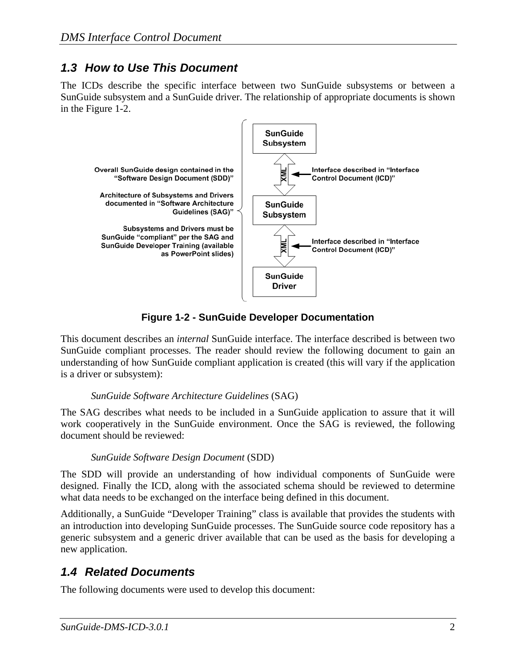### *1.3 How to Use This Document*

The ICDs describe the specific interface between two SunGuide subsystems or between a SunGuide subsystem and a SunGuide driver. The relationship of appropriate documents is shown in the Figure 1-2.



**Figure 1-2 - SunGuide Developer Documentation** 

This document describes an *internal* SunGuide interface. The interface described is between two SunGuide compliant processes. The reader should review the following document to gain an understanding of how SunGuide compliant application is created (this will vary if the application is a driver or subsystem):

#### *SunGuide Software Architecture Guidelines* (SAG)

The SAG describes what needs to be included in a SunGuide application to assure that it will work cooperatively in the SunGuide environment. Once the SAG is reviewed, the following document should be reviewed:

#### *SunGuide Software Design Document* (SDD)

The SDD will provide an understanding of how individual components of SunGuide were designed. Finally the ICD, along with the associated schema should be reviewed to determine what data needs to be exchanged on the interface being defined in this document.

Additionally, a SunGuide "Developer Training" class is available that provides the students with an introduction into developing SunGuide processes. The SunGuide source code repository has a generic subsystem and a generic driver available that can be used as the basis for developing a new application.

## *1.4 Related Documents*

The following documents were used to develop this document: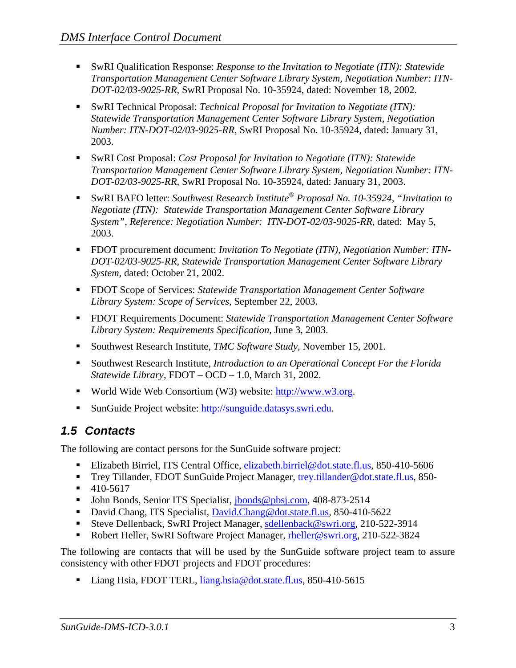- SwRI Qualification Response: *Response to the Invitation to Negotiate (ITN): Statewide Transportation Management Center Software Library System, Negotiation Number: ITN-DOT-02/03-9025-RR,* SwRI Proposal No. 10-35924, dated: November 18, 2002.
- SwRI Technical Proposal: *Technical Proposal for Invitation to Negotiate (ITN)*: *Statewide Transportation Management Center Software Library System, Negotiation Number: ITN-DOT-02/03-9025-RR,* SwRI Proposal No. 10-35924, dated: January 31, 2003.
- SwRI Cost Proposal: *Cost Proposal for Invitation to Negotiate (ITN): Statewide Transportation Management Center Software Library System, Negotiation Number: ITN-DOT-02/03-9025-RR,* SwRI Proposal No. 10-35924, dated: January 31, 2003.
- SwRI BAFO letter: *Southwest Research Institute® Proposal No. 10-35924, "Invitation to Negotiate (ITN): Statewide Transportation Management Center Software Library System", Reference: Negotiation Number: ITN-DOT-02/03-9025-RR*, dated: May 5, 2003.
- FDOT procurement document: *Invitation To Negotiate (ITN), Negotiation Number: ITN DOT-02/03-9025-RR, Statewide Transportation Management Center Software Library System*, dated: October 21, 2002.
- FDOT Scope of Services: *Statewide Transportation Management Center Software Library System: Scope of Services,* September 22, 2003.
- FDOT Requirements Document: *Statewide Transportation Management Center Software Library System: Requirements Specification,* June 3, 2003.
- Southwest Research Institute, *TMC Software Study*, November 15, 2001.
- Southwest Research Institute, *Introduction to an Operational Concept For the Florida Statewide Library*, FDOT – OCD – 1.0, March 31, 2002.
- World Wide Web Consortium (W3) website: http://www.w3.org.
- SunGuide Project website: http://sunguide.datasys.swri.edu.

## *1.5 Contacts*

The following are contact persons for the SunGuide software project:

- Elizabeth Birriel, ITS Central Office, elizabeth.birriel@dot.state.fl.us, 850-410-5606
- Trey Tillander, FDOT SunGuide Project Manager, trey.tillander@dot.state.fl.us, 850-
- $-410-5617$
- **John Bonds, Senior ITS Specialist, jbonds@pbsj.com, 408-873-2514**
- David Chang, ITS Specialist, David.Chang@dot.state.fl.us, 850-410-5622
- Steve Dellenback, SwRI Project Manager, sdellenback@swri.org, 210-522-3914
- Robert Heller, SwRI Software Project Manager, rheller@swri.org, 210-522-3824

The following are contacts that will be used by the SunGuide software project team to assure consistency with other FDOT projects and FDOT procedures:

Liang Hsia, FDOT TERL, liang.hsia@dot.state.fl.us, 850-410-5615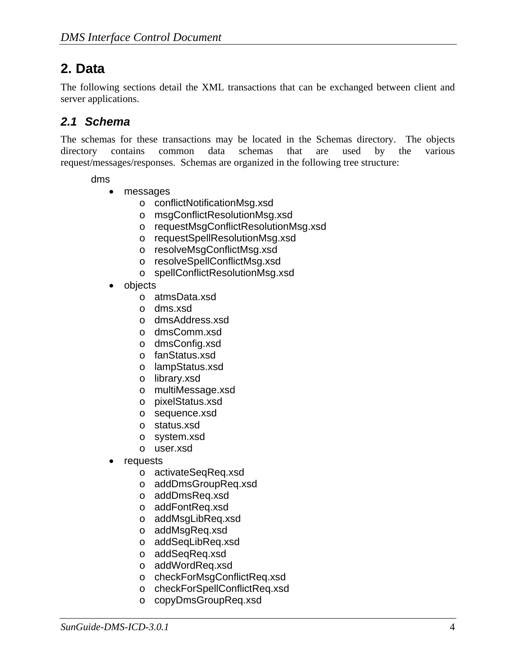## **2. Data**

The following sections detail the XML transactions that can be exchanged between client and server applications.

### *2.1 Schema*

The schemas for these transactions may be located in the Schemas directory. The objects directory contains common data schemas that are used by the various request/messages/responses. Schemas are organized in the following tree structure:

#### dms

- messages
	- o conflictNotificationMsg.xsd
	- o msgConflictResolutionMsg.xsd
	- o requestMsgConflictResolutionMsg.xsd
	- o requestSpellResolutionMsg.xsd
	- o resolveMsgConflictMsg.xsd
	- o resolveSpellConflictMsg.xsd
	- o spellConflictResolutionMsg.xsd
- objects
	- o atmsData.xsd
	- o dms.xsd
	- o dmsAddress.xsd
	- o dmsComm.xsd
	- o dmsConfig.xsd
	- o fanStatus.xsd
	- o lampStatus.xsd
	- o library.xsd
	- o multiMessage.xsd
	- o pixelStatus.xsd
	- o sequence.xsd
	- o status.xsd
	- o system.xsd
	- o user.xsd
- **requests** 
	- o activateSeqReq.xsd
	- o addDmsGroupReq.xsd
	- o addDmsReq.xsd
	- o addFontReq.xsd
	- o addMsgLibReq.xsd
	- o addMsgReq.xsd
	- o addSeqLibReq.xsd
	- o addSeqReq.xsd
	- o addWordReq.xsd
	- o checkForMsgConflictReq.xsd
	- o checkForSpellConflictReq.xsd
	- o copyDmsGroupReq.xsd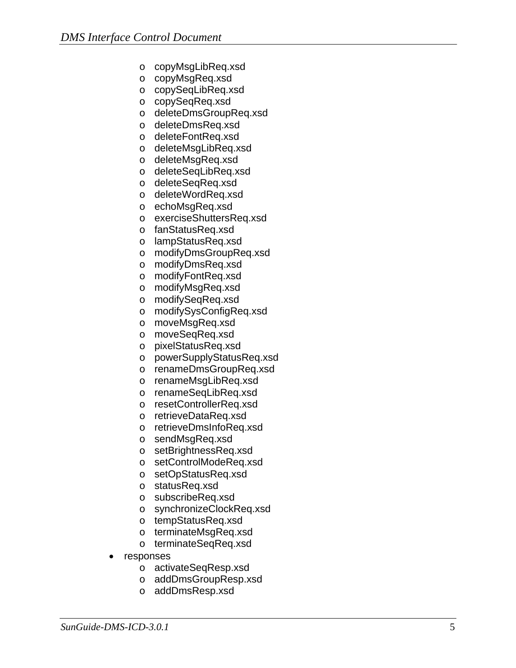- o copyMsgLibReq.xsd
- o copyMsgReq.xsd
- o copySeqLibReq.xsd
- o copySeqReq.xsd
- o deleteDmsGroupReq.xsd
- o deleteDmsReq.xsd
- o deleteFontReq.xsd
- o deleteMsgLibReq.xsd
- o deleteMsgReq.xsd
- o deleteSeqLibReq.xsd
- o deleteSeqReq.xsd
- o deleteWordReq.xsd
- o echoMsgReq.xsd
- o exerciseShuttersReq.xsd
- o fanStatusReq.xsd
- o lampStatusReq.xsd
- o modifyDmsGroupReq.xsd
- o modifyDmsReq.xsd
- o modifyFontReq.xsd
- o modifyMsgReq.xsd
- o modifySeqReq.xsd
- o modifySysConfigReq.xsd
- o moveMsgReq.xsd
- o moveSeqReq.xsd
- o pixelStatusReq.xsd
- o powerSupplyStatusReq.xsd
- o renameDmsGroupReq.xsd
- o renameMsgLibReq.xsd
- o renameSeqLibReq.xsd
- o resetControllerReq.xsd
- o retrieveDataReq.xsd
- o retrieveDmsInfoReq.xsd
- o sendMsgReq.xsd
- o setBrightnessReq.xsd
- o setControlModeReq.xsd
- o setOpStatusReq.xsd
- o statusReq.xsd
- o subscribeReq.xsd
- o synchronizeClockReq.xsd
- o tempStatusReq.xsd
- o terminateMsgReq.xsd
- o terminateSeqReq.xsd
- responses
	- o activateSeqResp.xsd
	- o addDmsGroupResp.xsd
	- o addDmsResp.xsd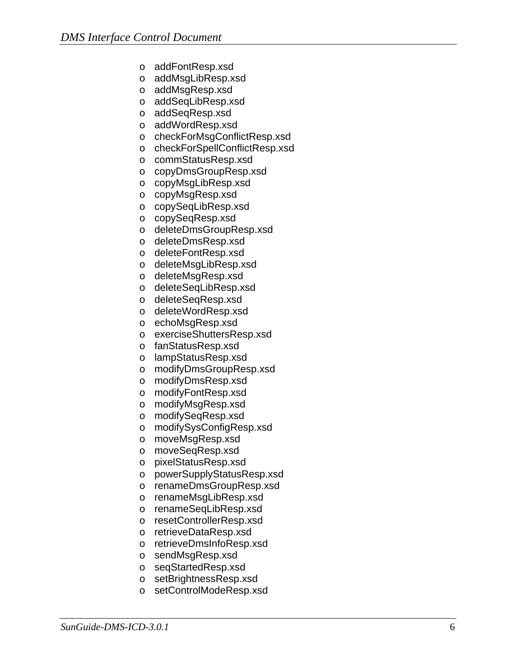- o addFontResp.xsd
- o addMsgLibResp.xsd
- o addMsgResp.xsd
- o addSeqLibResp.xsd
- o addSeqResp.xsd
- o addWordResp.xsd
- o checkForMsgConflictResp.xsd
- o checkForSpellConflictResp.xsd
- o commStatusResp.xsd
- o copyDmsGroupResp.xsd
- o copyMsgLibResp.xsd
- o copyMsgResp.xsd
- o copySeqLibResp.xsd
- o copySeqResp.xsd
- o deleteDmsGroupResp.xsd
- o deleteDmsResp.xsd
- o deleteFontResp.xsd
- o deleteMsgLibResp.xsd
- o deleteMsgResp.xsd
- o deleteSeqLibResp.xsd
- o deleteSeqResp.xsd
- o deleteWordResp.xsd
- o echoMsgResp.xsd
- o exerciseShuttersResp.xsd
- o fanStatusResp.xsd
- o lampStatusResp.xsd
- o modifyDmsGroupResp.xsd
- o modifyDmsResp.xsd
- o modifyFontResp.xsd
- o modifyMsgResp.xsd
- o modifySeqResp.xsd
- o modifySysConfigResp.xsd
- o moveMsgResp.xsd
- o moveSeqResp.xsd
- o pixelStatusResp.xsd
- o powerSupplyStatusResp.xsd
- o renameDmsGroupResp.xsd
- o renameMsgLibResp.xsd
- o renameSeqLibResp.xsd
- o resetControllerResp.xsd
- o retrieveDataResp.xsd
- o retrieveDmsInfoResp.xsd
- o sendMsgResp.xsd
- o seqStartedResp.xsd
- o setBrightnessResp.xsd
- o setControlModeResp.xsd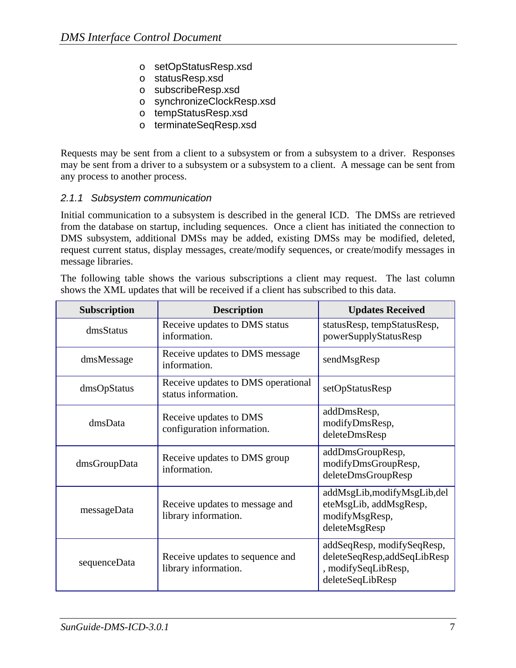- o setOpStatusResp.xsd
- o statusResp.xsd
- o subscribeResp.xsd
- o synchronizeClockResp.xsd
- o tempStatusResp.xsd
- o terminateSeqResp.xsd

Requests may be sent from a client to a subsystem or from a subsystem to a driver. Responses may be sent from a driver to a subsystem or a subsystem to a client. A message can be sent from any process to another process.

#### *2.1.1 Subsystem communication*

Initial communication to a subsystem is described in the general ICD. The DMSs are retrieved from the database on startup, including sequences. Once a client has initiated the connection to DMS subsystem, additional DMSs may be added, existing DMSs may be modified, deleted, request current status, display messages, create/modify sequences, or create/modify messages in message libraries.

The following table shows the various subscriptions a client may request. The last column shows the XML updates that will be received if a client has subscribed to this data.

| <b>Subscription</b> | <b>Description</b>                                        | <b>Updates Received</b>                                                                              |
|---------------------|-----------------------------------------------------------|------------------------------------------------------------------------------------------------------|
| dmsStatus           | Receive updates to DMS status<br>information.             | statusResp, tempStatusResp,<br>powerSupplyStatusResp                                                 |
| dmsMessage          | Receive updates to DMS message<br>information.            | sendMsgResp                                                                                          |
| dmsOpStatus         | Receive updates to DMS operational<br>status information. | setOpStatusResp                                                                                      |
| dmsData             | Receive updates to DMS<br>configuration information.      | addDmsResp,<br>modifyDmsResp,<br>deleteDmsResp                                                       |
| dmsGroupData        | Receive updates to DMS group<br>information.              | addDmsGroupResp,<br>modifyDmsGroupResp,<br>deleteDmsGroupResp                                        |
| messageData         | Receive updates to message and<br>library information.    | addMsgLib, modifyMsgLib, del<br>eteMsgLib, addMsgResp,<br>modifyMsgResp,<br>deleteMsgResp            |
| sequenceData        | Receive updates to sequence and<br>library information.   | addSeqResp, modifySeqResp,<br>deleteSeqResp,addSeqLibResp<br>, modifySeqLibResp,<br>deleteSeqLibResp |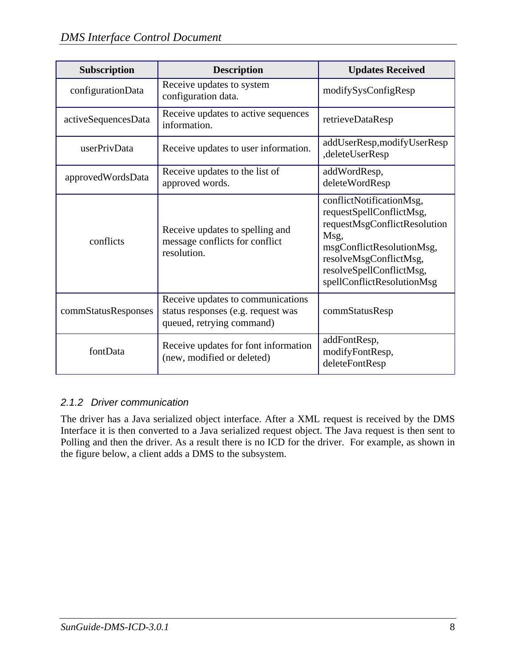| Subscription        | <b>Description</b>                                                                                   | <b>Updates Received</b>                                                                                                                                                                                       |
|---------------------|------------------------------------------------------------------------------------------------------|---------------------------------------------------------------------------------------------------------------------------------------------------------------------------------------------------------------|
| configurationData   | Receive updates to system<br>configuration data.                                                     | modifySysConfigResp                                                                                                                                                                                           |
| activeSequencesData | Receive updates to active sequences<br>information.                                                  | retrieveDataResp                                                                                                                                                                                              |
| userPrivData        | Receive updates to user information.                                                                 | addUserResp,modifyUserResp<br>,deleteUserResp                                                                                                                                                                 |
| approvedWordsData   | Receive updates to the list of<br>approved words.                                                    | addWordResp,<br>deleteWordResp                                                                                                                                                                                |
| conflicts           | Receive updates to spelling and<br>message conflicts for conflict<br>resolution.                     | conflictNotificationMsg,<br>requestSpellConflictMsg,<br>requestMsgConflictResolution<br>Msg,<br>msgConflictResolutionMsg,<br>resolveMsgConflictMsg,<br>resolveSpellConflictMsg,<br>spellConflictResolutionMsg |
| commStatusResponses | Receive updates to communications<br>status responses (e.g. request was<br>queued, retrying command) | commStatusResp                                                                                                                                                                                                |
| fontData            | Receive updates for font information<br>(new, modified or deleted)                                   | addFontResp,<br>modifyFontResp,<br>deleteFontResp                                                                                                                                                             |

#### *2.1.2 Driver communication*

The driver has a Java serialized object interface. After a XML request is received by the DMS Interface it is then converted to a Java serialized request object. The Java request is then sent to Polling and then the driver. As a result there is no ICD for the driver. For example, as shown in the figure below, a client adds a DMS to the subsystem.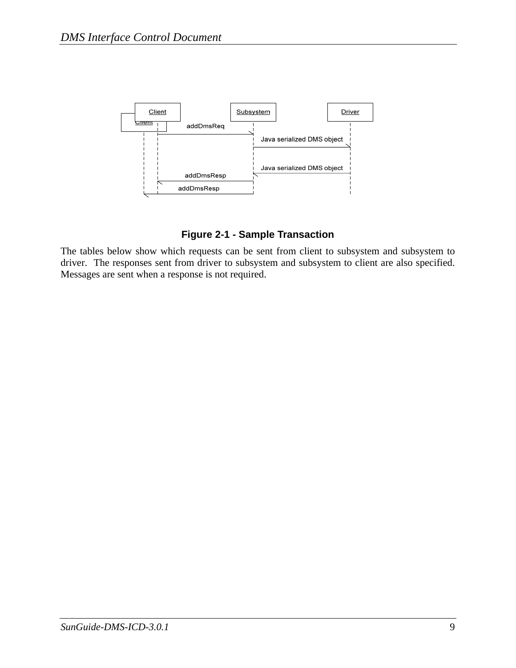

**Figure 2-1 - Sample Transaction** 

The tables below show which requests can be sent from client to subsystem and subsystem to driver. The responses sent from driver to subsystem and subsystem to client are also specified. Messages are sent when a response is not required.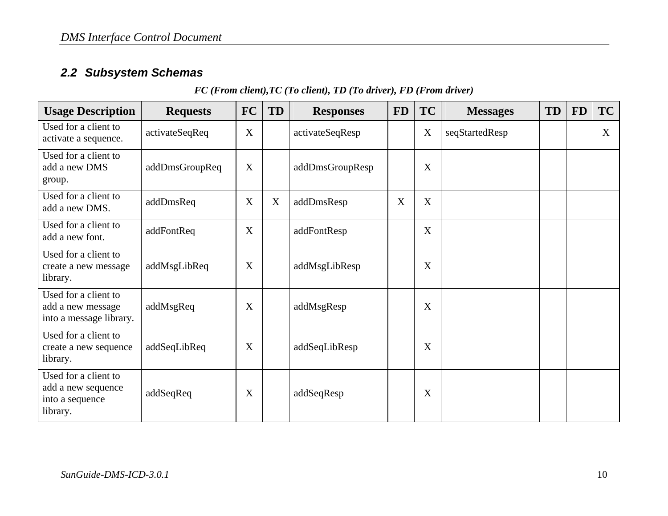## *2.2 Subsystem Schemas*

#### *FC (From client),TC (To client), TD (To driver), FD (From driver)*

| <b>Usage Description</b>                                                  | <b>Requests</b> | <b>FC</b> | TD | <b>Responses</b> | <b>FD</b> | <b>TC</b> | <b>Messages</b> | <b>TD</b> | <b>FD</b> | <b>TC</b> |
|---------------------------------------------------------------------------|-----------------|-----------|----|------------------|-----------|-----------|-----------------|-----------|-----------|-----------|
| Used for a client to<br>activate a sequence.                              | activateSeqReq  | X         |    | activateSeqResp  |           | X         | seqStartedResp  |           |           | X         |
| Used for a client to<br>add a new DMS<br>group.                           | addDmsGroupReq  | X         |    | addDmsGroupResp  |           | X         |                 |           |           |           |
| Used for a client to<br>add a new DMS.                                    | addDmsReq       | X         | X  | addDmsResp       | X         | X         |                 |           |           |           |
| Used for a client to<br>add a new font.                                   | addFontReq      | X         |    | addFontResp      |           | X         |                 |           |           |           |
| Used for a client to<br>create a new message<br>library.                  | addMsgLibReq    | X         |    | addMsgLibResp    |           | X         |                 |           |           |           |
| Used for a client to<br>add a new message<br>into a message library.      | addMsgReq       | X         |    | addMsgResp       |           | X         |                 |           |           |           |
| Used for a client to<br>create a new sequence<br>library.                 | addSeqLibReq    | X         |    | addSeqLibResp    |           | X         |                 |           |           |           |
| Used for a client to<br>add a new sequence<br>into a sequence<br>library. | addSeqReq       | X         |    | addSeqResp       |           | X         |                 |           |           |           |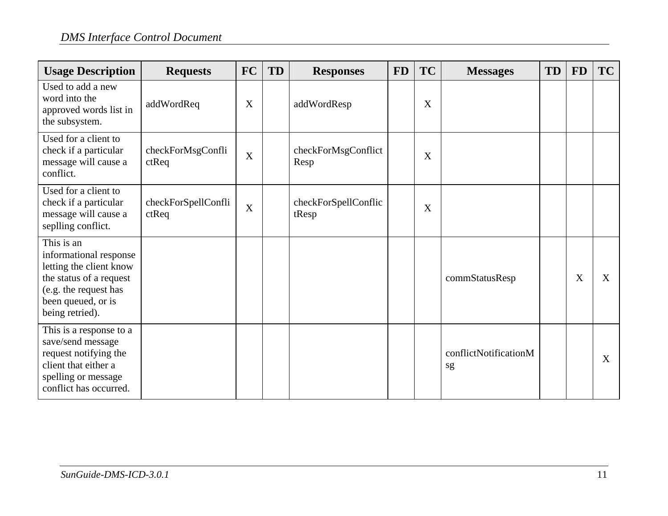| <b>Usage Description</b>                                                                                                                                     | <b>Requests</b>                 | FC               | <b>TD</b> | <b>Responses</b>              | <b>FD</b> | <b>TC</b> | <b>Messages</b>             | TD | <b>FD</b> | TC |
|--------------------------------------------------------------------------------------------------------------------------------------------------------------|---------------------------------|------------------|-----------|-------------------------------|-----------|-----------|-----------------------------|----|-----------|----|
| Used to add a new<br>word into the<br>approved words list in<br>the subsystem.                                                                               | addWordReq                      | X                |           | addWordResp                   |           | X         |                             |    |           |    |
| Used for a client to<br>check if a particular<br>message will cause a<br>conflict.                                                                           | checkForMsgConfli<br>$ct$ Req   | $\boldsymbol{X}$ |           | checkForMsgConflict<br>Resp   |           | X         |                             |    |           |    |
| Used for a client to<br>check if a particular<br>message will cause a<br>seplling conflict.                                                                  | checkForSpellConfli<br>$ct$ Req | X                |           | checkForSpellConflic<br>tResp |           | X         |                             |    |           |    |
| This is an<br>informational response<br>letting the client know<br>the status of a request<br>(e.g. the request has<br>been queued, or is<br>being retried). |                                 |                  |           |                               |           |           | commStatusResp              |    | X         | X  |
| This is a response to a<br>save/send message<br>request notifying the<br>client that either a<br>spelling or message<br>conflict has occurred.               |                                 |                  |           |                               |           |           | conflictNotificationM<br>sg |    |           | X  |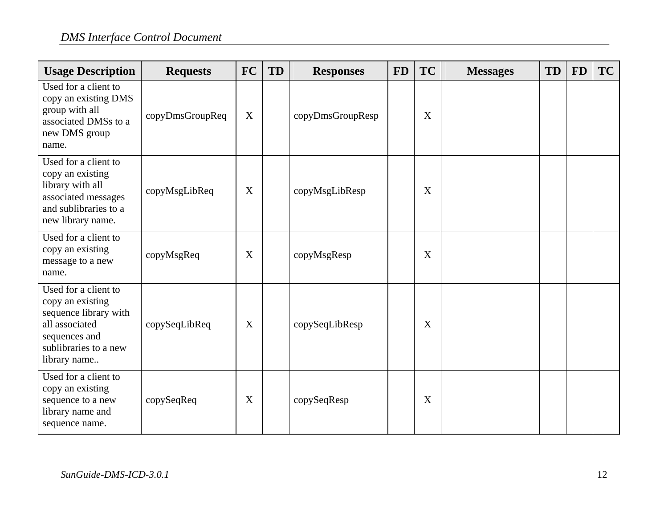| <b>Usage Description</b>                                                                                                                      | <b>Requests</b> | <b>FC</b>   | <b>TD</b> | <b>Responses</b> | <b>FD</b> | <b>TC</b>   | <b>Messages</b> | <b>TD</b> | <b>FD</b> | TC |
|-----------------------------------------------------------------------------------------------------------------------------------------------|-----------------|-------------|-----------|------------------|-----------|-------------|-----------------|-----------|-----------|----|
| Used for a client to<br>copy an existing DMS<br>group with all<br>associated DMSs to a<br>new DMS group<br>name.                              | copyDmsGroupReq | $\mathbf X$ |           | copyDmsGroupResp |           | X           |                 |           |           |    |
| Used for a client to<br>copy an existing<br>library with all<br>associated messages<br>and sublibraries to a<br>new library name.             | copyMsgLibReq   | X           |           | copyMsgLibResp   |           | X           |                 |           |           |    |
| Used for a client to<br>copy an existing<br>message to a new<br>name.                                                                         | copyMsgReq      | X           |           | copyMsgResp      |           | X           |                 |           |           |    |
| Used for a client to<br>copy an existing<br>sequence library with<br>all associated<br>sequences and<br>sublibraries to a new<br>library name | copySeqLibReq   | X           |           | copySeqLibResp   |           | $\mathbf X$ |                 |           |           |    |
| Used for a client to<br>copy an existing<br>sequence to a new<br>library name and<br>sequence name.                                           | copySeqReq      | X           |           | copySeqResp      |           | X           |                 |           |           |    |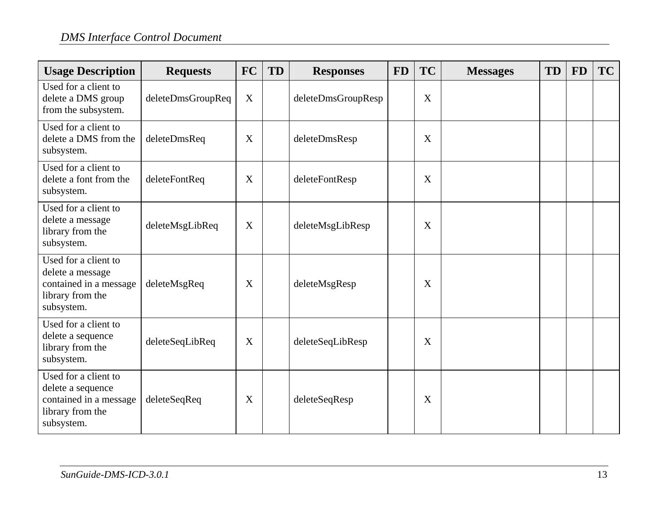| <b>Usage Description</b>                                                                              | <b>Requests</b>   | <b>FC</b>                 | <b>TD</b> | <b>Responses</b>   | <b>FD</b> | TC | <b>Messages</b> | TD | <b>FD</b> | TC |
|-------------------------------------------------------------------------------------------------------|-------------------|---------------------------|-----------|--------------------|-----------|----|-----------------|----|-----------|----|
| Used for a client to<br>delete a DMS group<br>from the subsystem.                                     | deleteDmsGroupReq | X                         |           | deleteDmsGroupResp |           | X  |                 |    |           |    |
| Used for a client to<br>delete a DMS from the<br>subsystem.                                           | deleteDmsReq      | X                         |           | deleteDmsResp      |           | X  |                 |    |           |    |
| Used for a client to<br>delete a font from the<br>subsystem.                                          | deleteFontReq     | X                         |           | deleteFontResp     |           | X  |                 |    |           |    |
| Used for a client to<br>delete a message<br>library from the<br>subsystem.                            | deleteMsgLibReq   | X                         |           | deleteMsgLibResp   |           | X  |                 |    |           |    |
| Used for a client to<br>delete a message<br>contained in a message<br>library from the<br>subsystem.  | deleteMsgReq      | X                         |           | deleteMsgResp      |           | X  |                 |    |           |    |
| Used for a client to<br>delete a sequence<br>library from the<br>subsystem.                           | deleteSeqLibReq   | $\boldsymbol{\mathrm{X}}$ |           | deleteSeqLibResp   |           | X  |                 |    |           |    |
| Used for a client to<br>delete a sequence<br>contained in a message<br>library from the<br>subsystem. | deleteSeqReq      | X                         |           | deleteSeqResp      |           | X  |                 |    |           |    |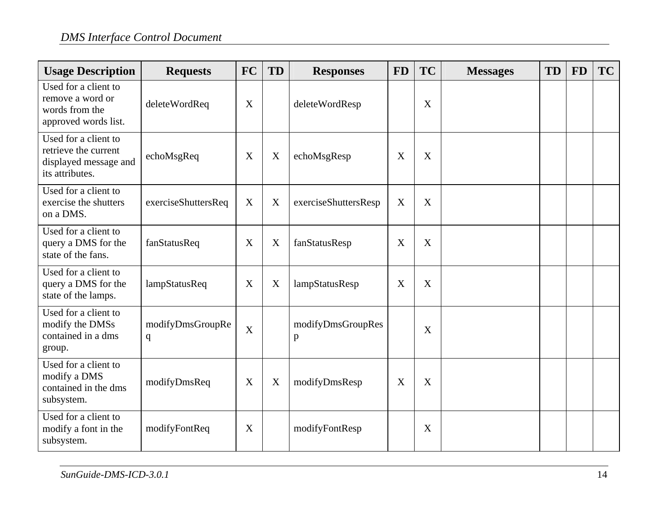| <b>Usage Description</b>                                                                 | <b>Requests</b>                  | <b>FC</b>   | <b>TD</b>                 | <b>Responses</b>       | <b>FD</b> | <b>TC</b> | <b>Messages</b> | <b>TD</b> | <b>FD</b> | <b>TC</b> |
|------------------------------------------------------------------------------------------|----------------------------------|-------------|---------------------------|------------------------|-----------|-----------|-----------------|-----------|-----------|-----------|
| Used for a client to<br>remove a word or<br>words from the<br>approved words list.       | deleteWordReq                    | X           |                           | deleteWordResp         |           | X         |                 |           |           |           |
| Used for a client to<br>retrieve the current<br>displayed message and<br>its attributes. | echoMsgReq                       | X           | X                         | echoMsgResp            | X         | X         |                 |           |           |           |
| Used for a client to<br>exercise the shutters<br>on a DMS.                               | exerciseShuttersReq              | X           | X                         | exerciseShuttersResp   | X         | X         |                 |           |           |           |
| Used for a client to<br>query a DMS for the<br>state of the fans.                        | fanStatusReq                     | X           | $\boldsymbol{\mathrm{X}}$ | fanStatusResp          | X         | X         |                 |           |           |           |
| Used for a client to<br>query a DMS for the<br>state of the lamps.                       | lampStatusReq                    | X           | X                         | lampStatusResp         | X         | X         |                 |           |           |           |
| Used for a client to<br>modify the DMSs<br>contained in a dms<br>group.                  | modifyDmsGroupRe<br>$\mathbf{q}$ | $\mathbf X$ |                           | modifyDmsGroupRes<br>p |           | X         |                 |           |           |           |
| Used for a client to<br>modify a DMS<br>contained in the dms<br>subsystem.               | modifyDmsReq                     | X           | X                         | modifyDmsResp          | X         | X         |                 |           |           |           |
| Used for a client to<br>modify a font in the<br>subsystem.                               | modifyFontReq                    | X           |                           | modifyFontResp         |           | X         |                 |           |           |           |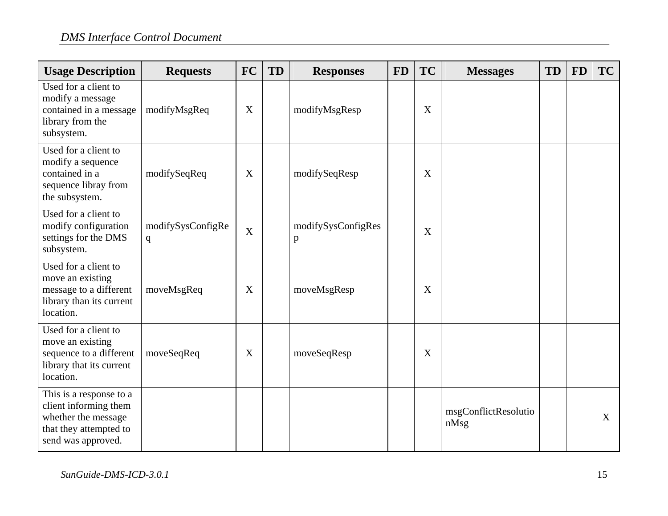| <b>Usage Description</b>                                                                                                | <b>Requests</b>                  | <b>FC</b>                 | TD | <b>Responses</b>        | <b>FD</b> | <b>TC</b> | <b>Messages</b>              | <b>TD</b> | <b>FD</b> | <b>TC</b> |
|-------------------------------------------------------------------------------------------------------------------------|----------------------------------|---------------------------|----|-------------------------|-----------|-----------|------------------------------|-----------|-----------|-----------|
| Used for a client to<br>modify a message<br>contained in a message<br>library from the<br>subsystem.                    | modifyMsgReq                     | X                         |    | modifyMsgResp           |           | X         |                              |           |           |           |
| Used for a client to<br>modify a sequence<br>contained in a<br>sequence libray from<br>the subsystem.                   | modifySeqReq                     | X                         |    | modifySeqResp           |           | X         |                              |           |           |           |
| Used for a client to<br>modify configuration<br>settings for the DMS<br>subsystem.                                      | modifySysConfigRe<br>$\mathbf q$ | $\boldsymbol{\mathrm{X}}$ |    | modifySysConfigRes<br>p |           | X         |                              |           |           |           |
| Used for a client to<br>move an existing<br>message to a different<br>library than its current<br>location.             | moveMsgReq                       | X                         |    | moveMsgResp             |           | X         |                              |           |           |           |
| Used for a client to<br>move an existing<br>sequence to a different<br>library that its current<br>location.            | moveSeqReq                       | X                         |    | moveSeqResp             |           | X         |                              |           |           |           |
| This is a response to a<br>client informing them<br>whether the message<br>that they attempted to<br>send was approved. |                                  |                           |    |                         |           |           | msgConflictResolutio<br>nMsg |           |           | X         |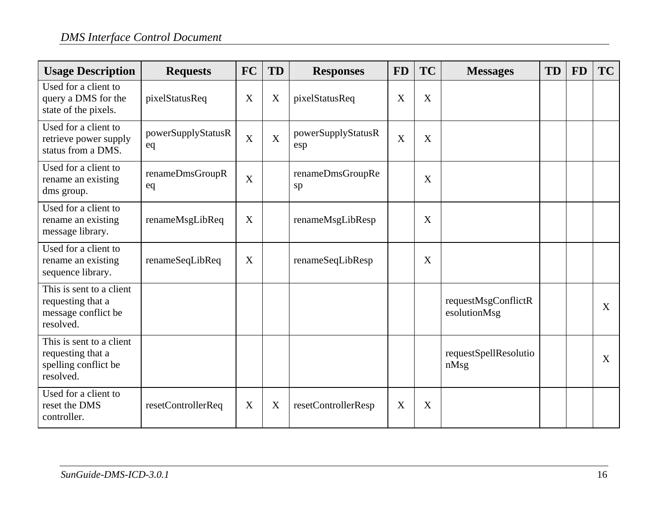| <b>Usage Description</b>                                                           | <b>Requests</b>          | <b>FC</b>   | TD             | <b>Responses</b>          | <b>FD</b> | <b>TC</b> | <b>Messages</b>                     | TD | <b>FD</b> | TC           |
|------------------------------------------------------------------------------------|--------------------------|-------------|----------------|---------------------------|-----------|-----------|-------------------------------------|----|-----------|--------------|
| Used for a client to<br>query a DMS for the<br>state of the pixels.                | pixelStatusReq           | X           | X              | pixelStatusReq            | X         | X         |                                     |    |           |              |
| Used for a client to<br>retrieve power supply<br>status from a DMS.                | powerSupplyStatusR<br>eq | $\mathbf X$ | $\overline{X}$ | powerSupplyStatusR<br>esp | X         | X         |                                     |    |           |              |
| Used for a client to<br>rename an existing<br>dms group.                           | renameDmsGroupR<br>eq    | X           |                | renameDmsGroupRe<br>sp    |           | X         |                                     |    |           |              |
| Used for a client to<br>rename an existing<br>message library.                     | renameMsgLibReq          | X           |                | renameMsgLibResp          |           | X         |                                     |    |           |              |
| Used for a client to<br>rename an existing<br>sequence library.                    | renameSeqLibReq          | X           |                | renameSeqLibResp          |           | X         |                                     |    |           |              |
| This is sent to a client<br>requesting that a<br>message conflict be<br>resolved.  |                          |             |                |                           |           |           | requestMsgConflictR<br>esolutionMsg |    |           | $\mathbf{X}$ |
| This is sent to a client<br>requesting that a<br>spelling conflict be<br>resolved. |                          |             |                |                           |           |           | requestSpellResolutio<br>nMsg       |    |           | X            |
| Used for a client to<br>reset the DMS<br>controller.                               | resetControllerReq       | X           | X              | resetControllerResp       | X         | X         |                                     |    |           |              |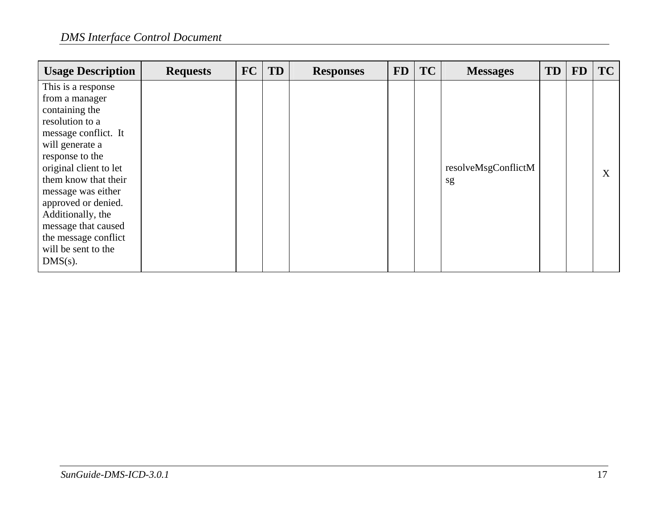| <b>Usage Description</b>                                                                                                                                                                                                                                                                                   | <b>Requests</b> | <b>FC</b> | <b>TD</b> | <b>Responses</b> | <b>FD</b> | <b>TC</b> | <b>Messages</b>           | <b>TD</b> | <b>FD</b> | <b>TC</b> |
|------------------------------------------------------------------------------------------------------------------------------------------------------------------------------------------------------------------------------------------------------------------------------------------------------------|-----------------|-----------|-----------|------------------|-----------|-----------|---------------------------|-----------|-----------|-----------|
| This is a response<br>from a manager<br>containing the<br>resolution to a<br>message conflict. It<br>will generate a<br>response to the<br>original client to let<br>them know that their<br>message was either<br>approved or denied.<br>Additionally, the<br>message that caused<br>the message conflict |                 |           |           |                  |           |           | resolveMsgConflictM<br>sg |           |           | X         |
| will be sent to the<br>$DMS(s)$ .                                                                                                                                                                                                                                                                          |                 |           |           |                  |           |           |                           |           |           |           |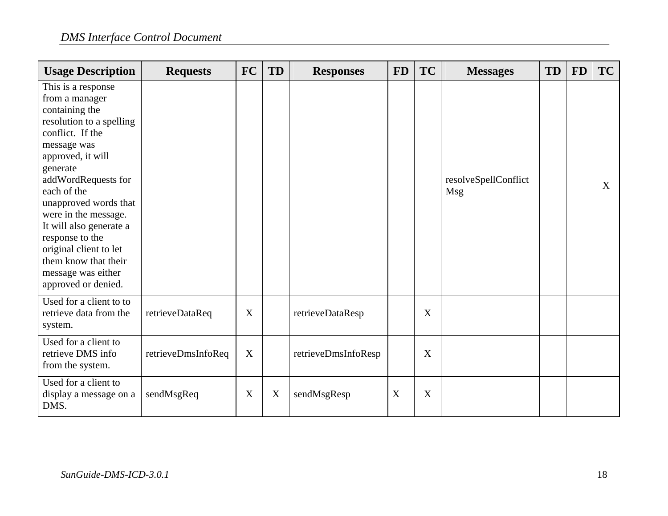| <b>Usage Description</b>                                                                                                                                                                                                                                                                                                                                                                   | <b>Requests</b>    | <b>FC</b>        | TD | <b>Responses</b>    | <b>FD</b> | <b>TC</b> | <b>Messages</b>             | TD | <b>FD</b> | TC           |
|--------------------------------------------------------------------------------------------------------------------------------------------------------------------------------------------------------------------------------------------------------------------------------------------------------------------------------------------------------------------------------------------|--------------------|------------------|----|---------------------|-----------|-----------|-----------------------------|----|-----------|--------------|
| This is a response<br>from a manager<br>containing the<br>resolution to a spelling<br>conflict. If the<br>message was<br>approved, it will<br>generate<br>addWordRequests for<br>each of the<br>unapproved words that<br>were in the message.<br>It will also generate a<br>response to the<br>original client to let<br>them know that their<br>message was either<br>approved or denied. |                    |                  |    |                     |           |           | resolveSpellConflict<br>Msg |    |           | $\mathbf{X}$ |
| Used for a client to to<br>retrieve data from the<br>system.                                                                                                                                                                                                                                                                                                                               | retrieveDataReq    | X                |    | retrieveDataResp    |           | X         |                             |    |           |              |
| Used for a client to<br>retrieve DMS info<br>from the system.                                                                                                                                                                                                                                                                                                                              | retrieveDmsInfoReq | $\boldsymbol{X}$ |    | retrieveDmsInfoResp |           | X         |                             |    |           |              |
| Used for a client to<br>display a message on a<br>DMS.                                                                                                                                                                                                                                                                                                                                     | sendMsgReq         | X                | X  | sendMsgResp         | X         | X         |                             |    |           |              |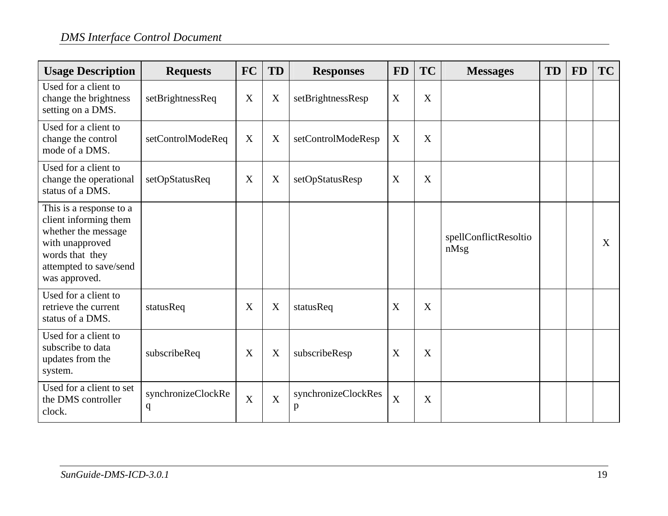| <b>Usage Description</b>                                                                                                                                 | <b>Requests</b>                   | <b>FC</b>      | TD             | <b>Responses</b>         | <b>FD</b>                 | <b>TC</b> | <b>Messages</b>               | <b>TD</b> | <b>FD</b> | <b>TC</b> |
|----------------------------------------------------------------------------------------------------------------------------------------------------------|-----------------------------------|----------------|----------------|--------------------------|---------------------------|-----------|-------------------------------|-----------|-----------|-----------|
| Used for a client to<br>change the brightness<br>setting on a DMS.                                                                                       | setBrightnessReq                  | X              | X              | setBrightnessResp        | $\boldsymbol{\mathrm{X}}$ | X         |                               |           |           |           |
| Used for a client to<br>change the control<br>mode of a DMS.                                                                                             | setControlModeReq                 | X              | X              | setControlModeResp       | X                         | X         |                               |           |           |           |
| Used for a client to<br>change the operational<br>status of a DMS.                                                                                       | setOpStatusReq                    | X              | X              | setOpStatusResp          | X                         | X         |                               |           |           |           |
| This is a response to a<br>client informing them<br>whether the message<br>with unapproved<br>words that they<br>attempted to save/send<br>was approved. |                                   |                |                |                          |                           |           | spellConflictResoltio<br>nMsg |           |           | X         |
| Used for a client to<br>retrieve the current<br>status of a DMS.                                                                                         | statusReq                         | X              | X              | statusReq                | X                         | X         |                               |           |           |           |
| Used for a client to<br>subscribe to data<br>updates from the<br>system.                                                                                 | subscribeReq                      | X              | X              | subscribeResp            | X                         | X         |                               |           |           |           |
| Used for a client to set<br>the DMS controller<br>clock.                                                                                                 | synchronizeClockRe<br>$\mathbf q$ | $\overline{X}$ | $\overline{X}$ | synchronizeClockRes<br>p | $\overline{X}$            | X         |                               |           |           |           |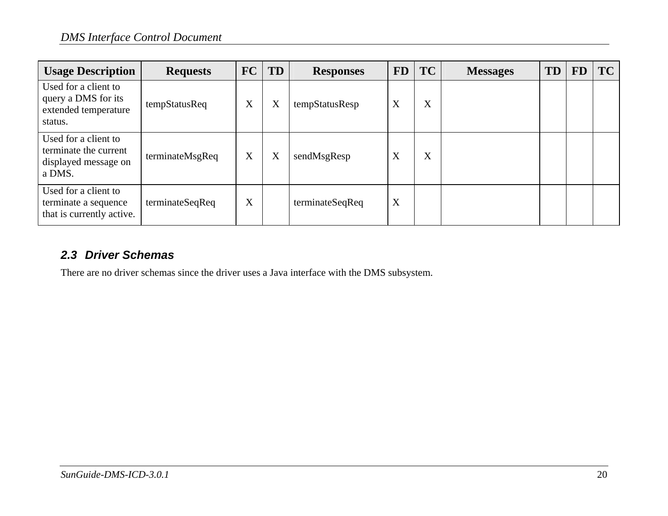| <b>Usage Description</b>                                                        | <b>Requests</b> | FC | <b>TD</b> | <b>Responses</b> | <b>FD</b> | <b>TC</b> | <b>Messages</b> | <b>TD</b> | FD | <b>TC</b> |
|---------------------------------------------------------------------------------|-----------------|----|-----------|------------------|-----------|-----------|-----------------|-----------|----|-----------|
| Used for a client to<br>query a DMS for its<br>extended temperature<br>status.  | tempStatusReq   | X  | X         | tempStatusResp   | X         | X         |                 |           |    |           |
| Used for a client to<br>terminate the current<br>displayed message on<br>a DMS. | terminateMsgReq | X  | X         | sendMsgResp      | X         | X         |                 |           |    |           |
| Used for a client to<br>terminate a sequence<br>that is currently active.       | terminateSeqReq | X  |           | terminateSeqReq  | X         |           |                 |           |    |           |

#### *2.3 Driver Schemas*

There are no driver schemas since the driver uses a Java interface with the DMS subsystem.